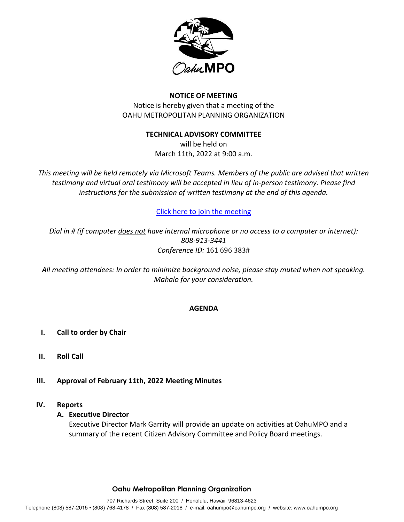

## **NOTICE OF MEETING**

Notice is hereby given that a meeting of the OAHU METROPOLITAN PLANNING ORGANIZATION

## **TECHNICAL ADVISORY COMMITTEE**

will be held on March 11th, 2022 at 9:00 a.m.

*This meeting will be held remotely via Microsoft Teams. Members of the public are advised that written testimony and virtual oral testimony will be accepted in lieu of in-person testimony. Please find instructions for the submission of written testimony at the end of this agenda.* 

## [Click here to join the meeting](https://teams.microsoft.com/l/meetup-join/19%3ameeting_MTE5NmVhNGEtMDUzYS00YmQ4LWJlNTMtNTViZTk4NDZiNmQ5%40thread.v2/0?context=%7b%22Tid%22%3a%2217291f7f-355b-4dd1-bac5-d71ce58243c3%22%2c%22Oid%22%3a%228fa78aac-3a30-45fc-8149-9eff6e361ba5%22%7d)

*Dial in # (if computer does not have internal microphone or no access to a computer or internet): 808-913-3441 Conference ID:* 161 696 383#

*All meeting attendees: In order to minimize background noise, please stay muted when not speaking. Mahalo for your consideration.*

#### **AGENDA**

- **I. Call to order by Chair**
- **II. Roll Call**
- **III. Approval of February 11th, 2022 Meeting Minutes**

#### **IV. Reports**

#### **A. Executive Director**

Executive Director Mark Garrity will provide an update on activities at OahuMPO and a summary of the recent Citizen Advisory Committee and Policy Board meetings.

#### **Oahu Metropolitan Planning Organization**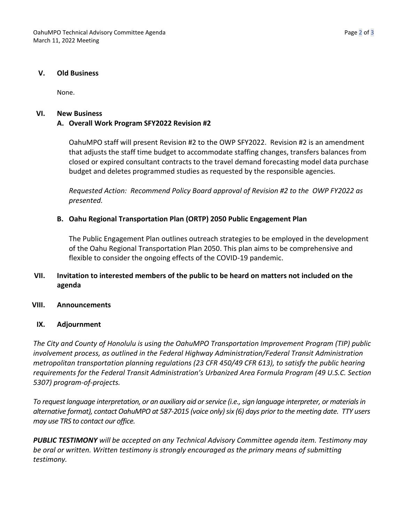### **V. Old Business**

None.

### **VI. New Business**

# **A. Overall Work Program SFY2022 Revision #2**

OahuMPO staff will present Revision #2 to the OWP SFY2022. Revision #2 is an amendment that adjusts the staff time budget to accommodate staffing changes, transfers balances from closed or expired consultant contracts to the travel demand forecasting model data purchase budget and deletes programmed studies as requested by the responsible agencies.

*Requested Action: Recommend Policy Board approval of Revision #2 to the OWP FY2022 as presented.* 

## **B. Oahu Regional Transportation Plan (ORTP) 2050 Public Engagement Plan**

The Public Engagement Plan outlines outreach strategies to be employed in the development of the Oahu Regional Transportation Plan 2050. This plan aims to be comprehensive and flexible to consider the ongoing effects of the COVID-19 pandemic.

## **VII. Invitation to interested members of the public to be heard on matters not included on the agenda**

## **VIII. Announcements**

## **IX. Adjournment**

*The City and County of Honolulu is using the OahuMPO Transportation Improvement Program (TIP) public involvement process, as outlined in the Federal Highway Administration/Federal Transit Administration metropolitan transportation planning regulations (23 CFR 450/49 CFR 613), to satisfy the public hearing requirements for the Federal Transit Administration's Urbanized Area Formula Program (49 U.S.C. Section 5307) program-of-projects.*

*To request language interpretation, or an auxiliary aid or service (i.e., sign language interpreter, or materials in alternative format), contact OahuMPO at 587-2015 (voice only) six (6) days prior to the meeting date. TTY users may use TRS to contact our office.*

*PUBLIC TESTIMONY will be accepted on any Technical Advisory Committee agenda item. Testimony may be oral or written. Written testimony is strongly encouraged as the primary means of submitting testimony.*